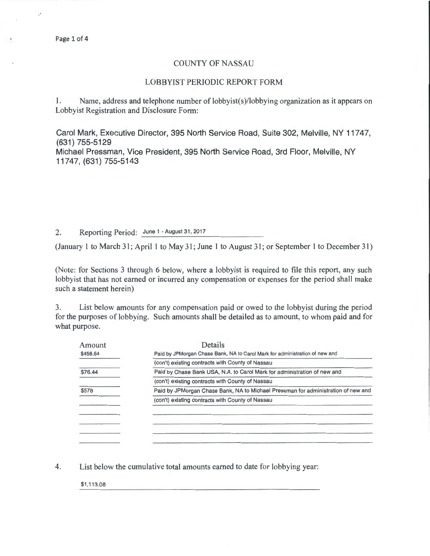## COUNTY OF NASSAU

## LOBBYIST PERIODIC REPORT FORM

1. Name, address and telephone number of lobbyist(s)/lobbying organization as it appears on Lobbyist Registration and Disclosure Form:

Carol Mark, Executive Director, 395 North Service Road, Suite 302, Melville, NY 11747, (631) 755-5129

Michael Pressman, Vice President, 395 North Service Road, 3rd Floor, Melville, NY 11747, (631) 755-5143

## 2. Reporting Period: June 1 - August 31, 2017

(January 1 to March 31; April 1 to May 31; June 1 to August 31; or September 1 to December 31)

(Note: for Sections 3 through 6 below, where a lobbyist is required to file this report, any such lobbyist that has not earned or incurred any compensation or expenses for the period shall make such a statement herein)

3. List below amounts for any compensation paid or owed to the lobbyist during the period for the purposes of lobbying. Such amounts shall be detailed as to amount, to whom paid and for what purpose.

| Amount   | Details                                                                           |
|----------|-----------------------------------------------------------------------------------|
| \$458.64 | Paid by JPMorgan Chase Bank, NA to Carol Mark for administration of new and       |
|          | (con't) existing contracts with County of Nassau                                  |
| \$76.44  | Paid by Chase Bank USA, N.A. to Carol Mark for administration of new and          |
|          | (con't) existing contracts with County of Nassau                                  |
| \$578    | Paid by JPMorgan Chase Bank, NA to Michael Pressman for administration of new and |
|          | (con't) existing contracts with County of Nassau                                  |
|          |                                                                                   |
|          |                                                                                   |
|          |                                                                                   |
|          |                                                                                   |

4. List below the cumulative total amounts earned to date for lobbying year:

\$1 ,113.08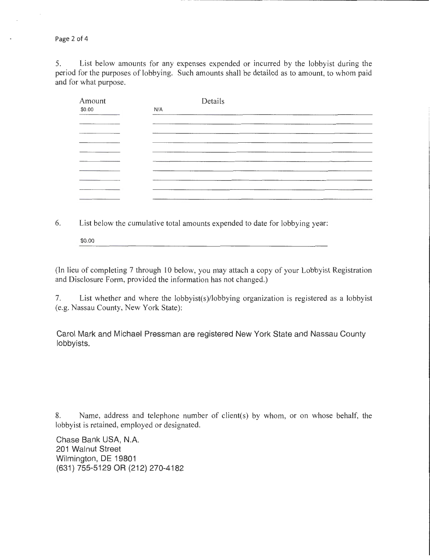Page 2 of 4

5. List below amounts for any expenses expended or incurred by the lobbyist during the period for the purposes of lobbying. Such amounts shall be detailed as to amount, to whom paid and for what purpose.

| Amount | Details                                                                                                                                                                                                                              |
|--------|--------------------------------------------------------------------------------------------------------------------------------------------------------------------------------------------------------------------------------------|
| \$0.00 | N/A                                                                                                                                                                                                                                  |
|        |                                                                                                                                                                                                                                      |
|        | _______                                                                                                                                                                                                                              |
|        |                                                                                                                                                                                                                                      |
|        |                                                                                                                                                                                                                                      |
|        |                                                                                                                                                                                                                                      |
|        |                                                                                                                                                                                                                                      |
|        |                                                                                                                                                                                                                                      |
|        | <u> The Communication of the Communication of the Communication of the Communication of the Communication of the Communication of the Communication of the Communication of the Communication of the Communication of the Commun</u> |
|        |                                                                                                                                                                                                                                      |
|        |                                                                                                                                                                                                                                      |

6. List below the cumulative total amounts expended to date for lobbying year:

\$0.00

(In lieu of completing 7 through 10 below, you may attach a copy of your Lobbyist Registration and Disclosure Form, provided the information has not changed.)

7. List whether and where the lobbyist(s)/lobbying organization is registered as a lobbyist (e.g. Nassau County, New York State):

Carol Mark and Michael Pressman are registered New York State and Nassau County lobbyists.

8. Name, address and telephone number of client(s) by whom, or on whose behalf, the lobbyist is retained, employed or designated.

Chase Bank USA, N.A. 201 Walnut Street Wilmington, DE 19801 (631) 755-5129 OR (212) 270-4182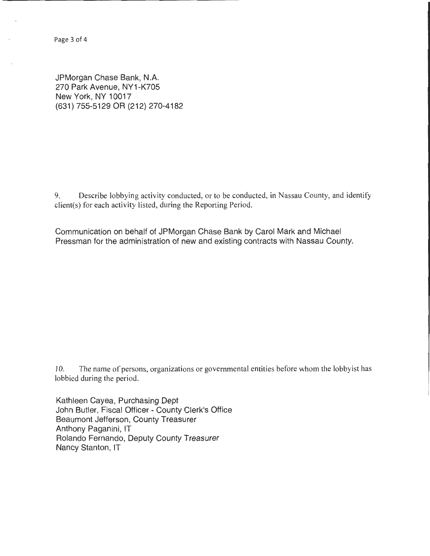Page 3 of 4

JPMorgan Chase Bank, N.A. 270 Park Avenue, NY1-K705 New York, NY 10017 (631) 755-5129 OR (212) 270-4182

9. Describe lobbying activity conducted, or to be conducted, in Nassau County, and identify client(s) for each activity listed, during the Reporting Period.

Communication on behalf of JPMorgan Chase Bank by Carol Mark and Michael Pressman for the administration of new and existing contracts with Nassau County.

10. The name of persons, organizations or governmental entities before whom the lobbyist has lobbied during the period.

Kathleen Cayea, Purchasing Dept John Butler, Fiscal Officer - County Clerk's Office Beaumont Jefferson, County Treasurer Anthony Paganini, IT Rolando Fernando, Deputy County Treasurer Nancy Stanton, IT